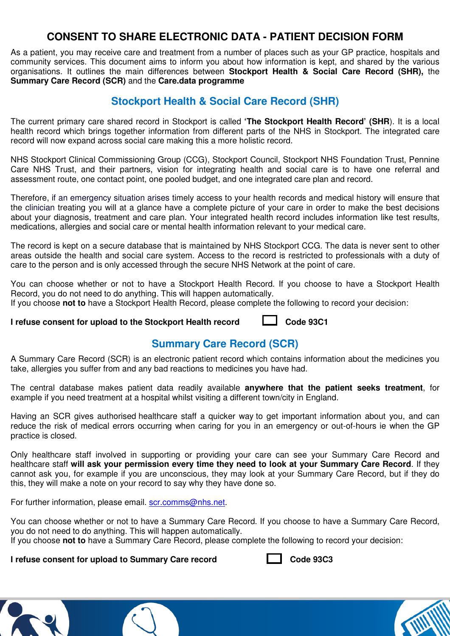## **CONSENT TO SHARE ELECTRONIC DATA - PATIENT DECISION FORM**

As a patient, you may receive care and treatment from a number of places such as your GP practice, hospitals and community services. This document aims to inform you about how information is kept, and shared by the various organisations. It outlines the main differences between **Stockport Health & Social Care Record (SHR),** the **Summary Care Record (SCR)** and the **Care.data programme**

### **Stockport Health & Social Care Record (SHR)**

The current primary care shared record in Stockport is called **'The Stockport Health Record' (SHR**). It is a local health record which brings together information from different parts of the NHS in Stockport. The integrated care record will now expand across social care making this a more holistic record.

NHS Stockport Clinical Commissioning Group (CCG), Stockport Council, Stockport NHS Foundation Trust, Pennine Care NHS Trust, and their partners, vision for integrating health and social care is to have one referral and assessment route, one contact point, one pooled budget, and one integrated care plan and record.

Therefore, if an emergency situation arises timely access to your health records and medical history will ensure that the clinician treating you will at a glance have a complete picture of your care in order to make the best decisions about your diagnosis, treatment and care plan. Your integrated health record includes information like test results, medications, allergies and social care or mental health information relevant to your medical care.

The record is kept on a secure database that is maintained by NHS Stockport CCG. The data is never sent to other areas outside the health and social care system. Access to the record is restricted to professionals with a duty of care to the person and is only accessed through the secure NHS Network at the point of care.

You can choose whether or not to have a Stockport Health Record. If you choose to have a Stockport Health Record, you do not need to do anything. This will happen automatically.

If you choose **not to** have a Stockport Health Record, please complete the following to record your decision:

**I refuse consent for upload to the Stockport Health record**  $\Box$  **Code 93C1** 

## **Summary Care Record (SCR)**

A Summary Care Record (SCR) is an electronic patient record which contains information about the medicines you take, allergies you suffer from and any bad reactions to medicines you have had.

The central database makes patient data readily available **anywhere that the patient seeks treatment**, for example if you need treatment at a hospital whilst visiting a different town/city in England.

Having an SCR gives authorised healthcare staff a quicker way to get important information about you, and can reduce the risk of medical errors occurring when caring for you in an emergency or out-of-hours ie when the GP practice is closed.

Only healthcare staff involved in supporting or providing your care can see your Summary Care Record and healthcare staff **will ask your permission every time they need to look at your Summary Care Record**. If they cannot ask you, for example if you are unconscious, they may look at your Summary Care Record, but if they do this, they will make a note on your record to say why they have done so.

For further information, please email, scr.comms@nhs.net.

You can choose whether or not to have a Summary Care Record. If you choose to have a Summary Care Record, you do not need to do anything. This will happen automatically.

If you choose **not to** have a Summary Care Record, please complete the following to record your decision:

**I refuse consent for upload to Summary Care record Code 93C3**